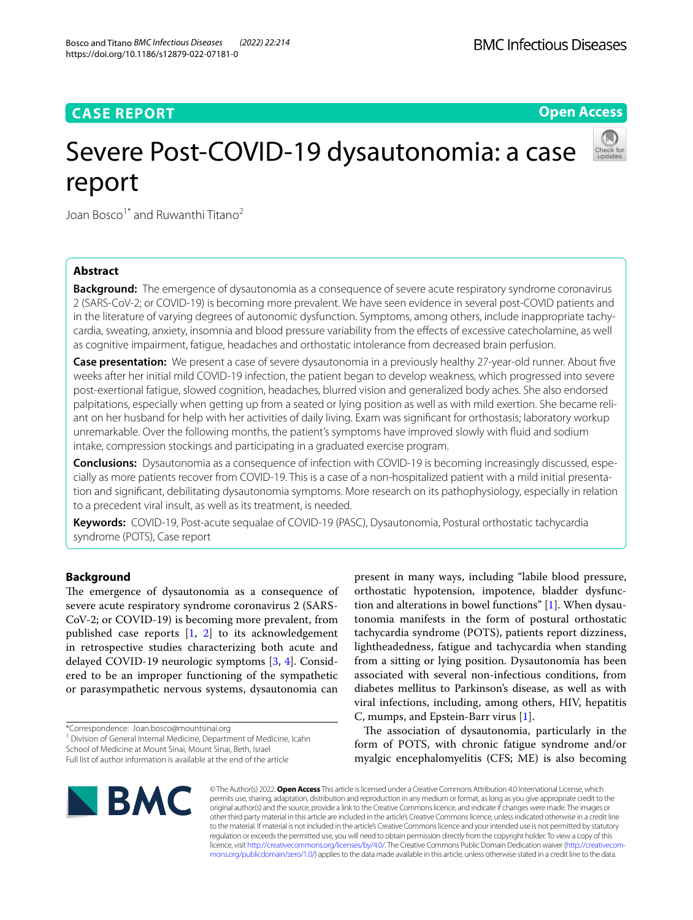# **CASE REPORT**

**Open Access**

# Severe Post-COVID-19 dysautonomia: a case report



Joan Bosco<sup>1\*</sup> and Ruwanthi Titano<sup>2</sup>

# **Abstract**

**Background:** The emergence of dysautonomia as a consequence of severe acute respiratory syndrome coronavirus 2 (SARS-CoV-2; or COVID-19) is becoming more prevalent. We have seen evidence in several post-COVID patients and in the literature of varying degrees of autonomic dysfunction. Symptoms, among others, include inappropriate tachycardia, sweating, anxiety, insomnia and blood pressure variability from the efects of excessive catecholamine, as well as cognitive impairment, fatigue, headaches and orthostatic intolerance from decreased brain perfusion.

**Case presentation:** We present a case of severe dysautonomia in a previously healthy 27-year-old runner. About fve weeks after her initial mild COVID-19 infection, the patient began to develop weakness, which progressed into severe post-exertional fatigue, slowed cognition, headaches, blurred vision and generalized body aches. She also endorsed palpitations, especially when getting up from a seated or lying position as well as with mild exertion. She became reliant on her husband for help with her activities of daily living. Exam was signifcant for orthostasis; laboratory workup unremarkable. Over the following months, the patient's symptoms have improved slowly with fuid and sodium intake, compression stockings and participating in a graduated exercise program.

**Conclusions:** Dysautonomia as a consequence of infection with COVID-19 is becoming increasingly discussed, especially as more patients recover from COVID-19. This is a case of a non-hospitalized patient with a mild initial presentation and signifcant, debilitating dysautonomia symptoms. More research on its pathophysiology, especially in relation to a precedent viral insult, as well as its treatment, is needed.

**Keywords:** COVID-19, Post-acute sequalae of COVID-19 (PASC), Dysautonomia, Postural orthostatic tachycardia syndrome (POTS), Case report

# **Background**

The emergence of dysautonomia as a consequence of severe acute respiratory syndrome coronavirus 2 (SARS-CoV-2; or COVID-19) is becoming more prevalent, from published case reports [\[1](#page-3-0), [2\]](#page-3-1) to its acknowledgement in retrospective studies characterizing both acute and delayed COVID-19 neurologic symptoms [\[3](#page-3-2), [4](#page-3-3)]. Considered to be an improper functioning of the sympathetic or parasympathetic nervous systems, dysautonomia can

<sup>1</sup> Division of General Internal Medicine, Department of Medicine, Icahn School of Medicine at Mount Sinai, Mount Sinai, Beth, Israel

present in many ways, including "labile blood pressure, orthostatic hypotension, impotence, bladder dysfunction and alterations in bowel functions" [\[1](#page-3-0)]. When dysautonomia manifests in the form of postural orthostatic tachycardia syndrome (POTS), patients report dizziness, lightheadedness, fatigue and tachycardia when standing from a sitting or lying position. Dysautonomia has been associated with several non-infectious conditions, from diabetes mellitus to Parkinson's disease, as well as with viral infections, including, among others, HIV, hepatitis C, mumps, and Epstein-Barr virus [\[1](#page-3-0)].

The association of dysautonomia, particularly in the form of POTS, with chronic fatigue syndrome and/or myalgic encephalomyelitis (CFS; ME) is also becoming



© The Author(s) 2022. **Open Access** This article is licensed under a Creative Commons Attribution 4.0 International License, which permits use, sharing, adaptation, distribution and reproduction in any medium or format, as long as you give appropriate credit to the original author(s) and the source, provide a link to the Creative Commons licence, and indicate if changes were made. The images or other third party material in this article are included in the article's Creative Commons licence, unless indicated otherwise in a credit line to the material. If material is not included in the article's Creative Commons licence and your intended use is not permitted by statutory regulation or exceeds the permitted use, you will need to obtain permission directly from the copyright holder. To view a copy of this licence, visit [http://creativecommons.org/licenses/by/4.0/.](http://creativecommons.org/licenses/by/4.0/) The Creative Commons Public Domain Dedication waiver ([http://creativecom](http://creativecommons.org/publicdomain/zero/1.0/)[mons.org/publicdomain/zero/1.0/\)](http://creativecommons.org/publicdomain/zero/1.0/) applies to the data made available in this article, unless otherwise stated in a credit line to the data.

<sup>\*</sup>Correspondence: Joan.bosco@mountsinai.org

Full list of author information is available at the end of the article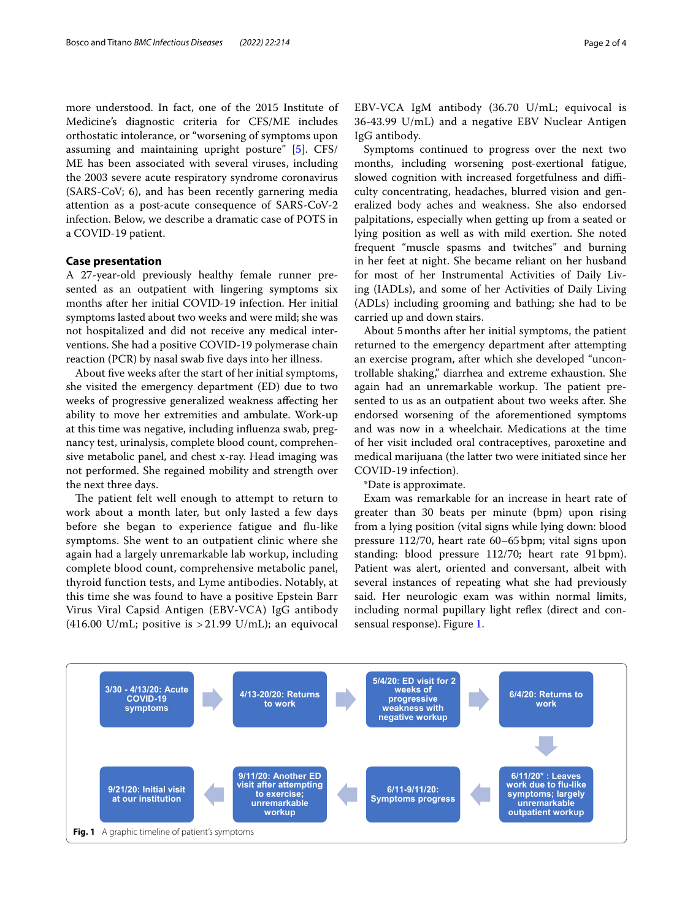more understood. In fact, one of the 2015 Institute of Medicine's diagnostic criteria for CFS/ME includes orthostatic intolerance, or "worsening of symptoms upon assuming and maintaining upright posture" [\[5](#page-3-4)]. CFS/ ME has been associated with several viruses, including the 2003 severe acute respiratory syndrome coronavirus (SARS-CoV; 6), and has been recently garnering media attention as a post-acute consequence of SARS-CoV-2 infection. Below, we describe a dramatic case of POTS in a COVID-19 patient.

# **Case presentation**

A 27-year-old previously healthy female runner presented as an outpatient with lingering symptoms six months after her initial COVID-19 infection. Her initial symptoms lasted about two weeks and were mild; she was not hospitalized and did not receive any medical interventions. She had a positive COVID-19 polymerase chain reaction (PCR) by nasal swab fve days into her illness.

About five weeks after the start of her initial symptoms, she visited the emergency department (ED) due to two weeks of progressive generalized weakness afecting her ability to move her extremities and ambulate. Work-up at this time was negative, including infuenza swab, pregnancy test, urinalysis, complete blood count, comprehensive metabolic panel, and chest x-ray. Head imaging was not performed. She regained mobility and strength over the next three days.

The patient felt well enough to attempt to return to work about a month later, but only lasted a few days before she began to experience fatigue and fu-like symptoms. She went to an outpatient clinic where she again had a largely unremarkable lab workup, including complete blood count, comprehensive metabolic panel, thyroid function tests, and Lyme antibodies. Notably, at this time she was found to have a positive Epstein Barr Virus Viral Capsid Antigen (EBV-VCA) IgG antibody (416.00 U/mL; positive is  $>$  21.99 U/mL); an equivocal EBV-VCA IgM antibody (36.70 U/mL; equivocal is 36-43.99 U/mL) and a negative EBV Nuclear Antigen IgG antibody.

Symptoms continued to progress over the next two months, including worsening post-exertional fatigue, slowed cognition with increased forgetfulness and difficulty concentrating, headaches, blurred vision and generalized body aches and weakness. She also endorsed palpitations, especially when getting up from a seated or lying position as well as with mild exertion. She noted frequent "muscle spasms and twitches" and burning in her feet at night. She became reliant on her husband for most of her Instrumental Activities of Daily Living (IADLs), and some of her Activities of Daily Living (ADLs) including grooming and bathing; she had to be carried up and down stairs.

About 5months after her initial symptoms, the patient returned to the emergency department after attempting an exercise program, after which she developed "uncontrollable shaking," diarrhea and extreme exhaustion. She again had an unremarkable workup. The patient presented to us as an outpatient about two weeks after. She endorsed worsening of the aforementioned symptoms and was now in a wheelchair. Medications at the time of her visit included oral contraceptives, paroxetine and medical marijuana (the latter two were initiated since her COVID-19 infection).

\*Date is approximate.

Exam was remarkable for an increase in heart rate of greater than 30 beats per minute (bpm) upon rising from a lying position (vital signs while lying down: blood pressure 112/70, heart rate 60–65bpm; vital signs upon standing: blood pressure 112/70; heart rate 91bpm). Patient was alert, oriented and conversant, albeit with several instances of repeating what she had previously said. Her neurologic exam was within normal limits, including normal pupillary light refex (direct and consensual response). Figure [1](#page-1-0).

<span id="page-1-0"></span>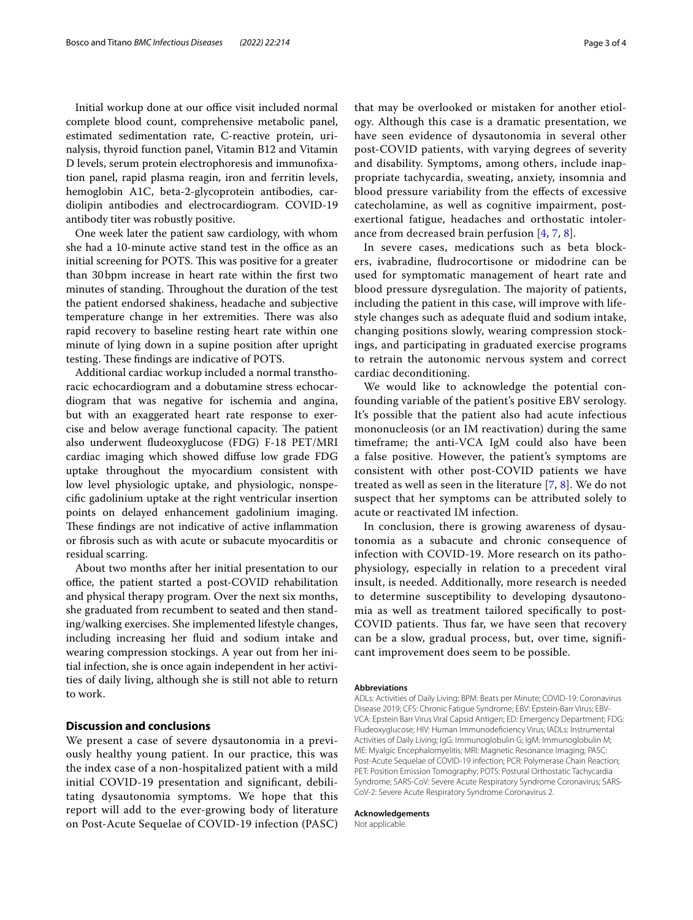Initial workup done at our office visit included normal complete blood count, comprehensive metabolic panel, estimated sedimentation rate, C-reactive protein, urinalysis, thyroid function panel, Vitamin B12 and Vitamin D levels, serum protein electrophoresis and immunofxation panel, rapid plasma reagin, iron and ferritin levels, hemoglobin A1C, beta-2-glycoprotein antibodies, cardiolipin antibodies and electrocardiogram. COVID-19 antibody titer was robustly positive.

One week later the patient saw cardiology, with whom she had a 10-minute active stand test in the office as an initial screening for POTS. This was positive for a greater than 30bpm increase in heart rate within the frst two minutes of standing. Throughout the duration of the test the patient endorsed shakiness, headache and subjective temperature change in her extremities. There was also rapid recovery to baseline resting heart rate within one minute of lying down in a supine position after upright testing. These findings are indicative of POTS.

Additional cardiac workup included a normal transthoracic echocardiogram and a dobutamine stress echocardiogram that was negative for ischemia and angina, but with an exaggerated heart rate response to exercise and below average functional capacity. The patient also underwent fudeoxyglucose (FDG) F-18 PET/MRI cardiac imaging which showed difuse low grade FDG uptake throughout the myocardium consistent with low level physiologic uptake, and physiologic, nonspecifc gadolinium uptake at the right ventricular insertion points on delayed enhancement gadolinium imaging. These findings are not indicative of active inflammation or fbrosis such as with acute or subacute myocarditis or residual scarring.

About two months after her initial presentation to our office, the patient started a post-COVID rehabilitation and physical therapy program. Over the next six months, she graduated from recumbent to seated and then standing/walking exercises. She implemented lifestyle changes, including increasing her fuid and sodium intake and wearing compression stockings. A year out from her initial infection, she is once again independent in her activities of daily living, although she is still not able to return to work.

# **Discussion and conclusions**

We present a case of severe dysautonomia in a previously healthy young patient. In our practice, this was the index case of a non-hospitalized patient with a mild initial COVID-19 presentation and signifcant, debilitating dysautonomia symptoms. We hope that this report will add to the ever-growing body of literature on Post-Acute Sequelae of COVID-19 infection (PASC)

that may be overlooked or mistaken for another etiology. Although this case is a dramatic presentation, we have seen evidence of dysautonomia in several other post-COVID patients, with varying degrees of severity and disability. Symptoms, among others, include inappropriate tachycardia, sweating, anxiety, insomnia and blood pressure variability from the efects of excessive catecholamine, as well as cognitive impairment, postexertional fatigue, headaches and orthostatic intolerance from decreased brain perfusion [[4,](#page-3-3) [7,](#page-3-5) [8\]](#page-3-6).

In severe cases, medications such as beta blockers, ivabradine, fudrocortisone or midodrine can be used for symptomatic management of heart rate and blood pressure dysregulation. The majority of patients, including the patient in this case, will improve with lifestyle changes such as adequate fuid and sodium intake, changing positions slowly, wearing compression stockings, and participating in graduated exercise programs to retrain the autonomic nervous system and correct cardiac deconditioning.

We would like to acknowledge the potential confounding variable of the patient's positive EBV serology. It's possible that the patient also had acute infectious mononucleosis (or an IM reactivation) during the same timeframe; the anti-VCA IgM could also have been a false positive. However, the patient's symptoms are consistent with other post-COVID patients we have treated as well as seen in the literature [[7,](#page-3-5) [8\]](#page-3-6). We do not suspect that her symptoms can be attributed solely to acute or reactivated IM infection.

In conclusion, there is growing awareness of dysautonomia as a subacute and chronic consequence of infection with COVID-19. More research on its pathophysiology, especially in relation to a precedent viral insult, is needed. Additionally, more research is needed to determine susceptibility to developing dysautonomia as well as treatment tailored specifcally to post-COVID patients. Thus far, we have seen that recovery can be a slow, gradual process, but, over time, signifcant improvement does seem to be possible.

#### **Abbreviations**

ADLs: Activities of Daily Living; BPM: Beats per Minute; COVID-19: Coronavirus Disease 2019; CFS: Chronic Fatigue Syndrome; EBV: Epstein-Barr Virus; EBV-VCA: Epstein Barr Virus Viral Capsid Antigen; ED: Emergency Department; FDG: Fludeoxyglucose; HIV: Human Immunodefciency Virus; IADLs: Instrumental Activities of Daily Living; IgG: Immunoglobulin G; IgM: Immunoglobulin M; ME: Myalgic Encephalomyelitis; MRI: Magnetic Resonance Imaging; PASC: Post-Acute Sequelae of COVID-19 infection; PCR: Polymerase Chain Reaction; PET: Position Emission Tomography; POTS: Postural Orthostatic Tachycardia Syndrome; SARS-CoV: Severe Acute Respiratory Syndrome Coronavirus; SARS-CoV-2: Severe Acute Respiratory Syndrome Coronavirus 2.

#### **Acknowledgements**

Not applicable.